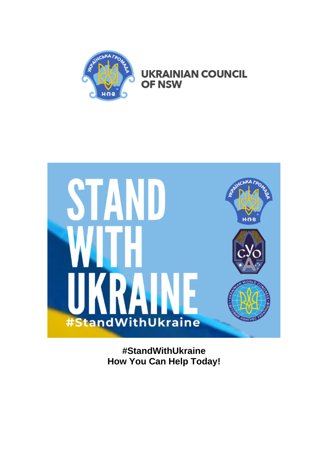

**UKRAINIAN COUNCIL OF NSW** 



**#StandWithUkraine How You Can Help Today!**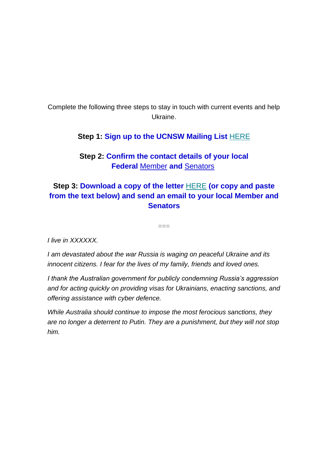Complete the following three steps to stay in touch with current events and help Ukraine.

## **Step 1: Sign up to the UCNSW Mailing List** [HERE](https://ucnsw.org/)

**Step 2: Confirm the contact details of your local Federal** [Member](https://www.aph.gov.au/Senators_and_Members/Parliamentarian_Search_Results?q=&mem=1&par=-1&gen=0&ps=0) **and** [Senators](https://www.aph.gov.au/Senators_and_Members/Parliamentarian_Search_Results?q=&sen=1&par=-1&gen=0&ps=0)

## **Step 3: Download a copy of the letter** [HERE](https://drive.google.com/drive/u/0/folders/1Fv00mFPsXqYQtK7XF52OUQhJ4hVuRN3U?fbclid=IwAR2YCpi5sguoZjnK-TYfPqF4o6DW6_rsOsFXeEsTJ5YkgXMIiS17qNFGByQ) **(or copy and paste from the text below) and send an email to your local Member and Senators**

 $=$ 

*I live in XXXXXX.*

*I am devastated about the war Russia is waging on peaceful Ukraine and its innocent citizens. I fear for the lives of my family, friends and loved ones.*

*I thank the Australian government for publicly condemning Russia's aggression and for acting quickly on providing visas for Ukrainians, enacting sanctions, and offering assistance with cyber defence.*

*While Australia should continue to impose the most ferocious sanctions, they are no longer a deterrent to Putin. They are a punishment, but they will not stop him.*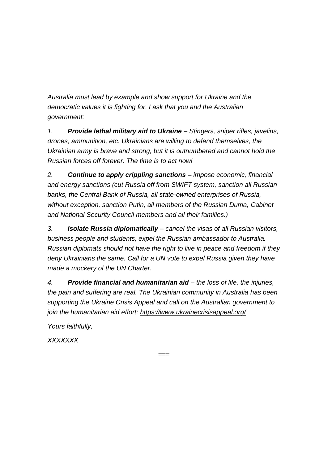*Australia must lead by example and show support for Ukraine and the democratic values it is fighting for. I ask that you and the Australian government:*

*1. Provide lethal military aid to Ukraine – Stingers, sniper rifles, javelins, drones, ammunition, etc. Ukrainians are willing to defend themselves, the Ukrainian army is brave and strong, but it is outnumbered and cannot hold the Russian forces off forever. The time is to act now!*

*2. Continue to apply crippling sanctions – impose economic, financial and energy sanctions (cut Russia off from SWIFT system, sanction all Russian banks, the Central Bank of Russia, all state-owned enterprises of Russia, without exception, sanction Putin, all members of the Russian Duma, Cabinet and National Security Council members and all their families.)*

*3. Isolate Russia diplomatically – cancel the visas of all Russian visitors, business people and students, expel the Russian ambassador to Australia. Russian diplomats should not have the right to live in peace and freedom if they deny Ukrainians the same. Call for a UN vote to expel Russia given they have made a mockery of the UN Charter.*

*4. Provide financial and humanitarian aid – the loss of life, the injuries, the pain and suffering are real. The Ukrainian community in Australia has been supporting the Ukraine Crisis Appeal and call on the Australian government to join the humanitarian aid effort: <https://www.ukrainecrisisappeal.org/>*

 $---$ 

*Yours faithfully,*

*XXXXXXX*